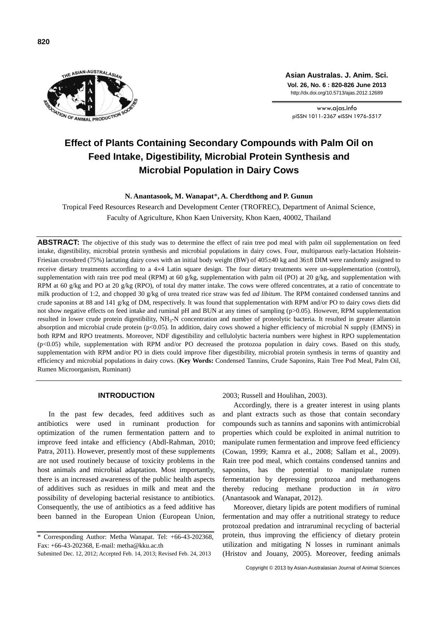

**Asian Australas. J. Anim. Sci. Vol. 26, No. 6 : 820-826 June 2013** http://dx.doi.org/10.5713/ajas.2012.12689

www.ajas.info pISSN 1011-2367 eISSN 1976-5517

# **Effect of Plants Containing Secondary Compounds with Palm Oil on Feed Intake, Digestibility, Microbial Protein Synthesis and Microbial Population in Dairy Cows**

# **N. Anantasook, M. Wanapat**\***, A. Cherdthong and P. Gunun**

Tropical Feed Resources Research and Development Center (TROFREC), Department of Animal Science, Faculty of Agriculture, Khon Kaen University, Khon Kaen, 40002, Thailand

**ABSTRACT:** The objective of this study was to determine the effect of rain tree pod meal with palm oil supplementation on feed intake, digestibility, microbial protein synthesis and microbial populations in dairy cows. Four, multiparous early-lactation Holstein-Friesian crossbred (75%) lactating dairy cows with an initial body weight (BW) of  $405\pm40$  kg and  $36\pm8$  DIM were randomly assigned to receive dietary treatments according to a 44 Latin square design. The four dietary treatments were un-supplementation (control), supplementation with rain tree pod meal (RPM) at 60 g/kg, supplementation with palm oil (PO) at 20 g/kg, and supplementation with RPM at 60 g/kg and PO at 20 g/kg (RPO), of total dry matter intake. The cows were offered concentrates, at a ratio of concentrate to milk production of 1:2, and chopped 30 g/kg of urea treated rice straw was fed *ad libitum*. The RPM contained condensed tannins and crude saponins at 88 and 141 g/kg of DM, respectively. It was found that supplementation with RPM and/or PO to dairy cows diets did not show negative effects on feed intake and ruminal pH and BUN at any times of sampling (p>0.05). However, RPM supplementation resulted in lower crude protein digestibility, NH<sub>3</sub>-N concentration and number of proteolytic bacteria. It resulted in greater allantoin absorption and microbial crude protein (p<0.05). In addition, dairy cows showed a higher efficiency of microbial N supply (EMNS) in both RPM and RPO treatments. Moreover, NDF digestibility and cellulolytic bacteria numbers were highest in RPO supplementation (p<0.05) while, supplementation with RPM and/or PO decreased the protozoa population in dairy cows. Based on this study, supplementation with RPM and/or PO in diets could improve fiber digestibility, microbial protein synthesis in terms of quantity and efficiency and microbial populations in dairy cows. (**Key Words:** Condensed Tannins, Crude Saponins, Rain Tree Pod Meal, Palm Oil, Rumen Microorganism, Ruminant)

# **INTRODUCTION**

In the past few decades, feed additives such as antibiotics were used in ruminant production for optimization of the rumen fermentation pattern and to improve feed intake and efficiency (Abdl-Rahman, 2010; Patra, 2011). However, presently most of these supplements are not used routinely because of toxicity problems in the host animals and microbial adaptation. Most importantly, there is an increased awareness of the public health aspects of additives such as residues in milk and meat and the possibility of developing bacterial resistance to antibiotics. Consequently, the use of antibiotics as a feed additive has been banned in the European Union (European Union,

2003; Russell and Houlihan, 2003).

Accordingly, there is a greater interest in using plants and plant extracts such as those that contain secondary compounds such as tannins and saponins with antimicrobial properties which could be exploited in animal nutrition to manipulate rumen fermentation and improve feed efficiency (Cowan, 1999; Kamra et al., 2008; Sallam et al., 2009). Rain tree pod meal, which contains condensed tannins and saponins, has the potential to manipulate rumen fermentation by depressing protozoa and methanogens thereby reducing methane production in *in vitro*  (Anantasook and Wanapat, 2012).

Moreover, dietary lipids are potent modifiers of ruminal fermentation and may offer a nutritional strategy to reduce protozoal predation and intraruminal recycling of bacterial protein, thus improving the efficiency of dietary protein utilization and mitigating N losses in ruminant animals (Hristov and Jouany, 2005). Moreover, feeding animals

<sup>\*</sup> Corresponding Author: Metha Wanapat. Tel: +66-43-202368, Fax: +66-43-202368, E-mail: metha@kku.ac.th

Submitted Dec. 12, 2012; Accepted Feb. 14, 2013; Revised Feb. 24, 2013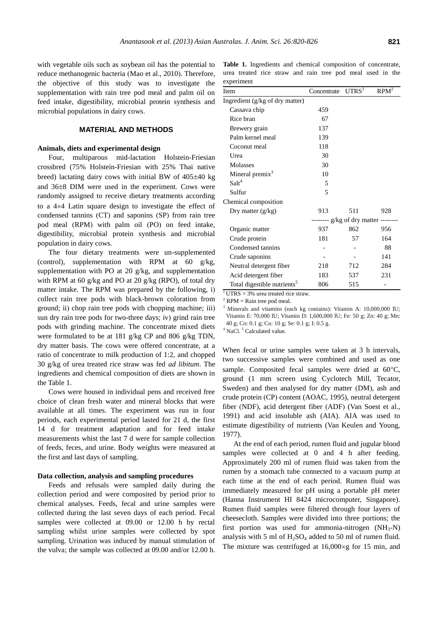with vegetable oils such as soybean oil has the potential to reduce methanogenic bacteria (Mao et al., 2010). Therefore, the objective of this study was to investigate the supplementation with rain tree pod meal and palm oil on feed intake, digestibility, microbial protein synthesis and microbial populations in dairy cows.

#### **MATERIAL AND METHODS**

## **Animals, diets and experimental design**

Four, multiparous mid-lactation Holstein-Friesian crossbred (75% Holstein-Friesian with 25% Thai native breed) lactating dairy cows with initial BW of  $405\pm40$  kg and  $36\pm8$  DIM were used in the experiment. Cows were randomly assigned to receive dietary treatments according to a  $4\times4$  Latin square design to investigate the effect of condensed tannins (CT) and saponins (SP) from rain tree pod meal (RPM) with palm oil (PO) on feed intake, digestibility, microbial protein synthesis and microbial population in dairy cows.

The four dietary treatments were un-supplemented (control), supplementation with RPM at 60 g/kg, supplementation with PO at 20 g/kg, and supplementation with RPM at 60 g/kg and PO at 20 g/kg (RPO), of total dry matter intake. The RPM was prepared by the following, i) collect rain tree pods with black-brown coloration from ground; ii) chop rain tree pods with chopping machine; iii) sun dry rain tree pods for two-three days; iv) grind rain tree pods with grinding machine. The concentrate mixed diets were formulated to be at 181 g/kg CP and 806 g/kg TDN, dry matter basis. The cows were offered concentrate, at a ratio of concentrate to milk production of 1:2, and chopped 30 g/kg of urea treated rice straw was fed *ad libitum*. The ingredients and chemical composition of diets are shown in the Table 1.

Cows were housed in individual pens and received free choice of clean fresh water and mineral blocks that were available at all times. The experiment was run in four periods, each experimental period lasted for 21 d, the first 14 d for treatment adaptation and for feed intake measurements whist the last 7 d were for sample collection of feeds, feces, and urine. Body weights were measured at the first and last days of sampling.

#### **Data collection, analysis and sampling procedures**

Feeds and refusals were sampled daily during the collection period and were composited by period prior to chemical analyses. Feeds, fecal and urine samples were collected during the last seven days of each period. Fecal samples were collected at 09.00 or 12.00 h by rectal sampling whilst urine samples were collected by spot sampling. Urination was induced by manual stimulation of the vulva; the sample was collected at 09.00 and/or 12.00 h.

**Table 1.** Ingredients and chemical composition of concentrate, urea treated rice straw and rain tree pod meal used in the experiment

| Item                                    | Concentrate                         | UTRS <sup>1</sup> | $RPM^2$ |  |  |  |
|-----------------------------------------|-------------------------------------|-------------------|---------|--|--|--|
| Ingredient (g/kg of dry matter)         |                                     |                   |         |  |  |  |
| Cassava chip                            | 459                                 |                   |         |  |  |  |
| Rice bran                               | 67                                  |                   |         |  |  |  |
| Brewery grain                           | 137                                 |                   |         |  |  |  |
| Palm kernel meal                        | 139                                 |                   |         |  |  |  |
| Coconut meal                            | 118                                 |                   |         |  |  |  |
| Urea                                    | 30                                  |                   |         |  |  |  |
| Molasses                                | 30                                  |                   |         |  |  |  |
| Mineral premix <sup>3</sup>             | 10                                  |                   |         |  |  |  |
| Salt <sup>4</sup>                       | 5                                   |                   |         |  |  |  |
| Sulfur                                  | 5                                   |                   |         |  |  |  |
| Chemical composition                    |                                     |                   |         |  |  |  |
| Dry matter $(g/kg)$                     | 913                                 | 511               | 928     |  |  |  |
|                                         | ------- g/kg of dry matter -------- |                   |         |  |  |  |
| Organic matter                          | 937                                 | 862               | 956     |  |  |  |
| Crude protein                           | 181                                 | 57                | 164     |  |  |  |
| Condensed tannins                       |                                     |                   | 88      |  |  |  |
| Crude saponins                          |                                     |                   | 141     |  |  |  |
| Neutral detergent fiber                 | 218                                 | 712               | 284     |  |  |  |
| Acid detergent fiber                    | 183                                 | 537               | 231     |  |  |  |
| Total digestible nutrients <sup>5</sup> | 806                                 | 515               |         |  |  |  |

 $\overline{1 \text{UTRS}} = 3\%$  urea treated rice straw.

 $2$  RPM = Rain tree pod meal.

<sup>3</sup> Minerals and vitamins (each kg contains): Vitamin A: 10,000,000 IU; Vitamin E: 70,000 IU; Vitamin D: 1,600,000 IU; Fe: 50 g; Zn: 40 g; Mn: 40 g; Co: 0.1 g; Cu: 10 g; Se: 0.1 g; I: 0.5 g.

<sup>4</sup> NaCl.<sup>5</sup> Calculated value.

When fecal or urine samples were taken at 3 h intervals, two successive samples were combined and used as one sample. Composited fecal samples were dried at  $60^{\circ}$ C, ground (1 mm screen using Cyclotech Mill, Tecator, Sweden) and then analysed for dry matter (DM), ash and crude protein (CP) content (AOAC, 1995), neutral detergent fiber (NDF), acid detergent fiber (ADF) (Van Soest et al., 1991) and acid insoluble ash (AIA). AIA was used to estimate digestibility of nutrients (Van Keulen and Young, 1977).

At the end of each period, rumen fluid and jugular blood samples were collected at 0 and 4 h after feeding. Approximately 200 ml of rumen fluid was taken from the rumen by a stomach tube connected to a vacuum pump at each time at the end of each period. Rumen fluid was immediately measured for pH using a portable pH meter (Hanna Instrument HI 8424 microcomputer, Singapore). Rumen fluid samples were filtered through four layers of cheesecloth. Samples were divided into three portions; the first portion was used for ammonia-nitrogen  $(NH_3-N)$ analysis with 5 ml of  $H<sub>2</sub>SO<sub>4</sub>$  added to 50 ml of rumen fluid. The mixture was centrifuged at  $16,000 \times g$  for 15 min, and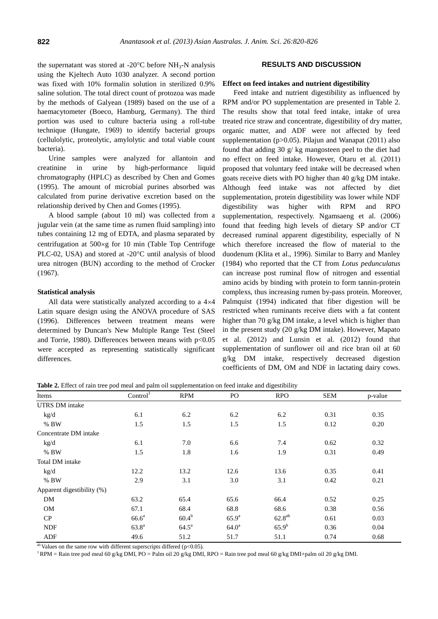the supernatant was stored at -20 $\degree$ C before NH<sub>3</sub>-N analysis using the Kjeltech Auto 1030 analyzer. A second portion was fixed with 10% formalin solution in sterilized 0.9% saline solution. The total direct count of protozoa was made by the methods of Galyean (1989) based on the use of a haemacytometer (Boeco, Hamburg, Germany). The third portion was used to culture bacteria using a roll-tube technique (Hungate, 1969) to identify bacterial groups (cellulolytic, proteolytic, amylolytic and total viable count bacteria).

Urine samples were analyzed for allantoin and creatinine in urine by high-performance liquid chromatography (HPLC) as described by Chen and Gomes (1995). The amount of microbial purines absorbed was calculated from purine derivative excretion based on the relationship derived by Chen and Gomes (1995).

A blood sample (about 10 ml) was collected from a jugular vein (at the same time as rumen fluid sampling) into tubes containing 12 mg of EDTA, and plasma separated by centrifugation at  $500 \times g$  for 10 min (Table Top Centrifuge PLC-02, USA) and stored at -20°C until analysis of blood urea nitrogen (BUN) according to the method of Crocker (1967).

#### **Statistical analysis**

All data were statistically analyzed according to a  $4\times4$ Latin square design using the ANOVA procedure of SAS (1996). Differences between treatment means were determined by Duncan's New Multiple Range Test (Steel and Torrie, 1980). Differences between means with  $p<0.05$ were accepted as representing statistically significant differences.

## **RESULTS AND DISCUSSION**

#### **Effect on feed intakes and nutrient digestibility**

Feed intake and nutrient digestibility as influenced by RPM and/or PO supplementation are presented in Table 2. The results show that total feed intake, intake of urea treated rice straw and concentrate, digestibility of dry matter, organic matter, and ADF were not affected by feed supplementation (p>0.05). Pilajun and Wanapat (2011) also found that adding 30 g/ kg mangosteen peel to the diet had no effect on feed intake. However, Otaru et al. (2011) proposed that voluntary feed intake will be decreased when goats receive diets with PO higher than 40 g/kg DM intake. Although feed intake was not affected by diet supplementation, protein digestibility was lower while NDF digestibility was higher with RPM and RPO supplementation, respectively. Ngamsaeng et al. (2006) found that feeding high levels of dietary SP and/or CT decreased ruminal apparent digestibility, especially of N which therefore increased the flow of material to the duodenum (Klita et al., 1996). Similar to Barry and Manley (1984) who reported that the CT from *Lotus pedunculatus* can increase post ruminal flow of nitrogen and essential amino acids by binding with protein to form tannin-protein complexs, thus increasing rumen by-pass protein. Moreover, Palmquist (1994) indicated that fiber digestion will be restricted when ruminants receive diets with a fat content higher than 70 g/kg DM intake, a level which is higher than in the present study (20 g/kg DM intake). However, Mapato et al. (2012) and Lunsin et al. (2012) found that supplementation of sunflower oil and rice bran oil at 60 g/kg DM intake, respectively decreased digestion coefficients of DM, OM and NDF in lactating dairy cows.

**Table 2.** Effect of rain tree pod meal and palm oil supplementation on feed intake and digestibility

| Items                      | Control <sup>1</sup> | <b>RPM</b>     | PO             | <b>RPO</b>  | <b>SEM</b> | p-value |
|----------------------------|----------------------|----------------|----------------|-------------|------------|---------|
| <b>UTRS DM</b> intake      |                      |                |                |             |            |         |
| kg/d                       | 6.1                  | 6.2            | 6.2            | 6.2         | 0.31       | 0.35    |
| $%$ BW                     | 1.5                  | 1.5            | 1.5            | 1.5         | 0.12       | 0.20    |
| Concentrate DM intake      |                      |                |                |             |            |         |
| kg/d                       | 6.1                  | 7.0            | 6.6            | 7.4         | 0.62       | 0.32    |
| $%$ BW                     | 1.5                  | 1.8            | 1.6            | 1.9         | 0.31       | 0.49    |
| Total DM intake            |                      |                |                |             |            |         |
| kg/d                       | 12.2                 | 13.2           | 12.6           | 13.6        | 0.35       | 0.41    |
| $%$ BW                     | 2.9                  | 3.1            | 3.0            | 3.1         | 0.42       | 0.21    |
| Apparent digestibility (%) |                      |                |                |             |            |         |
| DM                         | 63.2                 | 65.4           | 65.6           | 66.4        | 0.52       | 0.25    |
| <b>OM</b>                  | 67.1                 | 68.4           | 68.8           | 68.6        | 0.38       | 0.56    |
| CP                         | 66.6 <sup>a</sup>    | $60.4^{b}$     | $65.9^{a}$     | $62.8^{ab}$ | 0.61       | 0.03    |
| <b>NDF</b>                 | $63.8^{a}$           | $64.5^{\rm a}$ | $64.0^{\rm a}$ | $65.9^{b}$  | 0.36       | 0.04    |
| ADF                        | 49.6                 | 51.2           | 51.7           | 51.1        | 0.74       | 0.68    |

 $a<sup>b</sup>$  Values on the same row with different superscripts differed (p<0.05).

 $1$ RPM = Rain tree pod meal 60 g/kg DMI, PO = Palm oil 20 g/kg DMI, RPO = Rain tree pod meal 60 g/kg DMI+palm oil 20 g/kg DMI.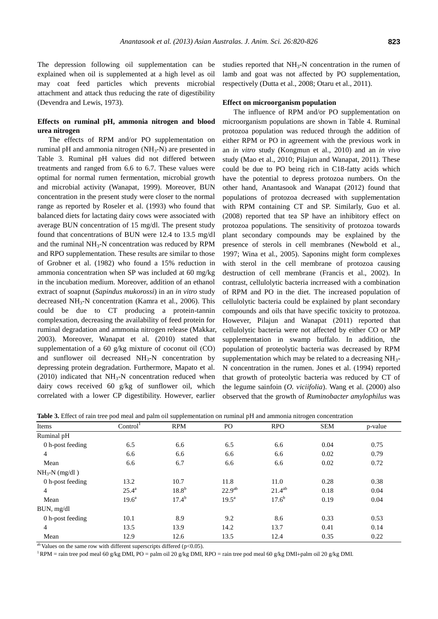The depression following oil supplementation can be explained when oil is supplemented at a high level as oil may coat feed particles which prevents microbial attachment and attack thus reducing the rate of digestibility (Devendra and Lewis, 1973).

# **Effects on ruminal pH, ammonia nitrogen and blood urea nitrogen**

The effects of RPM and/or PO supplementation on ruminal pH and ammonia nitrogen  $(NH<sub>3</sub>-N)$  are presented in Table 3. Ruminal pH values did not differed between treatments and ranged from 6.6 to 6.7. These values were optimal for normal rumen fermentation, microbial growth and microbial activity (Wanapat, 1999). Moreover, BUN concentration in the present study were closer to the normal range as reported by Roseler et al. (1993) who found that balanced diets for lactating dairy cows were associated with average BUN concentration of 15 mg/dl. The present study found that concentrations of BUN were 12.4 to 13.5 mg/dl and the ruminal  $NH<sub>3</sub>-N$  concentration was reduced by RPM and RPO supplementation. These results are similar to those of Grobner et al. (1982) who found a 15% reduction in ammonia concentration when SP was included at 60 mg/kg in the incubation medium. Moreover, addition of an ethanol extract of soapnut (*Sapindus mukorossi*) in an *in vitro* study decreased NH3-N concentration (Kamra et al., 2006). This could be due to CT producing a protein-tannin complexation, decreasing the availability of feed protein for ruminal degradation and ammonia nitrogen release (Makkar, 2003). Moreover, Wanapat et al. (2010) stated that supplementation of a 60 g/kg mixture of coconut oil (CO) and sunflower oil decreased  $NH<sub>3</sub>-N$  concentration by depressing protein degradation. Furthermore, Mapato et al.  $(2010)$  indicated that NH<sub>3</sub>-N concentration reduced when dairy cows received 60 g/kg of sunflower oil, which correlated with a lower CP digestibility. However, earlier

studies reported that NH<sub>3</sub>-N concentration in the rumen of lamb and goat was not affected by PO supplementation, respectively (Dutta et al., 2008; Otaru et al., 2011).

## **Effect on microorganism population**

The influence of RPM and/or PO supplementation on microorganism populations are shown in Table 4. Ruminal protozoa population was reduced through the addition of either RPM or PO in agreement with the previous work in an *in vitro* study (Kongmun et al., 2010) and an *in vivo* study (Mao et al., 2010; Pilajun and Wanapat, 2011). These could be due to PO being rich in C18-fatty acids which have the potential to depress protozoa numbers. On the other hand, Anantasook and Wanapat (2012) found that populations of protozoa decreased with supplementation with RPM containing CT and SP. Similarly, Guo et al. (2008) reported that tea SP have an inhibitory effect on protozoa populations. The sensitivity of protozoa towards plant secondary compounds may be explained by the presence of sterols in cell membranes (Newbold et al., 1997; Wina et al., 2005). Saponins might form complexes with sterol in the cell membrane of protozoa causing destruction of cell membrane (Francis et al., 2002). In contrast, cellulolytic bacteria incrreased with a combination of RPM and PO in the diet. The increased population of cellulolytic bacteria could be explained by plant secondary compounds and oils that have specific toxicity to protozoa. However, Pilajun and Wanapat (2011) reported that cellulolytic bacteria were not affected by either CO or MP supplementation in swamp buffalo. In addition, the population of proteolytic bacteria was decreased by RPM supplementation which may be related to a decreasing  $NH<sub>3</sub>$ -N concentration in the rumen. Jones et al. (1994) reported that growth of proteolytic bacteria was reduced by CT of the legume sainfoin (*O. viciifolia*). Wang et al. (2000) also observed that the growth of *Ruminobacter amylophilus* was

| Items            | Control <sup>1</sup> | <b>RPM</b>        | PO.                | <b>RPO</b>  | <b>SEM</b> | p-value |
|------------------|----------------------|-------------------|--------------------|-------------|------------|---------|
| Ruminal pH       |                      |                   |                    |             |            |         |
| 0 h-post feeding | 6.5                  | 6.6               | 6.5                | 6.6         | 0.04       | 0.75    |
| 4                | 6.6                  | 6.6               | 6.6                | 6.6         | 0.02       | 0.79    |
| Mean             | 6.6                  | 6.7               | 6.6                | 6.6         | 0.02       | 0.72    |
| $NH_3-N$ (mg/dl) |                      |                   |                    |             |            |         |
| 0 h-post feeding | 13.2                 | 10.7              | 11.8               | 11.0        | 0.28       | 0.38    |
| $\overline{4}$   | $25.4^{\rm a}$       | 18.8 <sup>b</sup> | 22.9 <sup>ab</sup> | $21.4^{ab}$ | 0.18       | 0.04    |
| Mean             | 19.6 <sup>a</sup>    | $17.4^{b}$        | $19.5^a$           | $17.6^{b}$  | 0.19       | 0.04    |
| BUN, mg/dl       |                      |                   |                    |             |            |         |
| 0 h-post feeding | 10.1                 | 8.9               | 9.2                | 8.6         | 0.33       | 0.53    |
| 4                | 13.5                 | 13.9              | 14.2               | 13.7        | 0.41       | 0.14    |
| Mean             | 12.9                 | 12.6              | 13.5               | 12.4        | 0.35       | 0.22    |

**Table 3.** Effect of rain tree pod meal and palm oil supplementation on ruminal pH and ammonia nitrogen concentration

<sup>ab</sup> Values on the same row with different superscripts differed (p<0.05).

 $1$ RPM = rain tree pod meal 60 g/kg DMI, PO = palm oil 20 g/kg DMI, RPO = rain tree pod meal 60 g/kg DMI+palm oil 20 g/kg DMI.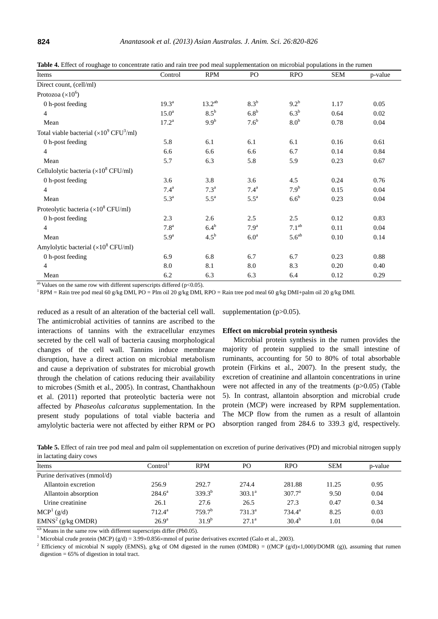| Items                                                          | Control            | <b>RPM</b>         | PO                 | <b>RPO</b>        | <b>SEM</b> | p-value |
|----------------------------------------------------------------|--------------------|--------------------|--------------------|-------------------|------------|---------|
| Direct count, (cell/ml)                                        |                    |                    |                    |                   |            |         |
| Protozoa $(x10^6)$                                             |                    |                    |                    |                   |            |         |
| 0 h-post feeding                                               | $19.3^{\text{a}}$  | $13.2^{ab}$        | 8.3 <sup>b</sup>   | $9.2^{b}$         | 1.17       | 0.05    |
| $\overline{4}$                                                 | 15.0 <sup>a</sup>  | $8.5^{\rm b}$      | 6.8 <sup>b</sup>   | $6.3^b$           | 0.64       | 0.02    |
| Mean                                                           | $17.2^{\rm a}$     | 9.9 <sup>b</sup>   | 7.6 <sup>b</sup>   | 8.0 <sup>b</sup>  | 0.78       | 0.04    |
| Total viable bacterial $(\times 10^9 \text{ CFU}^3/\text{ml})$ |                    |                    |                    |                   |            |         |
| 0 h-post feeding                                               | 5.8                | 6.1                | 6.1                | 6.1               | 0.16       | 0.61    |
| $\overline{4}$                                                 | 6.6                | 6.6                | 6.6                | 6.7               | 0.14       | 0.84    |
| Mean                                                           | 5.7                | 6.3                | 5.8                | 5.9               | 0.23       | 0.67    |
| Cellulolytic bacteria $(\times 10^8 \text{ CFU/ml})$           |                    |                    |                    |                   |            |         |
| 0 h-post feeding                                               | 3.6                | 3.8                | 3.6                | 4.5               | 0.24       | 0.76    |
| $\overline{4}$                                                 | 7.4 <sup>a</sup>   | 7.3 <sup>a</sup>   | 7.4 <sup>a</sup>   | 7.9 <sup>b</sup>  | 0.15       | 0.04    |
| Mean                                                           | $5.3^{\mathrm{a}}$ | $5.5^{\mathrm{a}}$ | $5.5^{\mathrm{a}}$ | $6.6^b$           | 0.23       | 0.04    |
| Proteolytic bacteria $(x10^8 \text{ CFU/ml})$                  |                    |                    |                    |                   |            |         |
| 0 h-post feeding                                               | 2.3                | 2.6                | 2.5                | 2.5               | 0.12       | 0.83    |
| $\overline{4}$                                                 | 7.8 <sup>a</sup>   | $6.4^{\rm b}$      | 7.9 <sup>a</sup>   | 7.1 <sup>ab</sup> | 0.11       | 0.04    |
| Mean                                                           | 5.9 <sup>a</sup>   | $4.5^{\rm b}$      | 6.0 <sup>a</sup>   | $5.6^{ab}$        | 0.10       | 0.14    |
| Amylolytic bacterial $(\times 10^8 \text{ CFU/ml})$            |                    |                    |                    |                   |            |         |
| 0 h-post feeding                                               | 6.9                | 6.8                | 6.7                | 6.7               | 0.23       | 0.88    |
| $\overline{4}$                                                 | 8.0                | 8.1                | 8.0                | 8.3               | 0.20       | 0.40    |
| Mean                                                           | 6.2                | 6.3                | 6.3                | 6.4               | 0.12       | 0.29    |

**Table 4.** Effect of roughage to concentrate ratio and rain tree pod meal supplementation on microbial populations in the rumen

<sup>ab</sup> Values on the same row with different superscripts differed ( $p<0.05$ ).

<sup>1</sup> RPM = Rain tree pod meal 60 g/kg DMI, PO = Plm oil 20 g/kg DMI, RPO = Rain tree pod meal 60 g/kg DMI+palm oil 20 g/kg DMI.

reduced as a result of an alteration of the bacterial cell wall*.* The antimicrobial activities of tannins are ascribed to the interactions of tannins with the extracellular enzymes secreted by the cell wall of bacteria causing morphological changes of the cell wall. Tannins induce membrane disruption, have a direct action on microbial metabolism and cause a deprivation of substrates for microbial growth through the chelation of cations reducing their availability to microbes (Smith et al., 2005). In contrast, Chanthakhoun et al. (2011) reported that proteolytic bacteria were not affected by *Phaseolus calcaratus* supplementation. In the present study populations of total viable bacteria and amylolytic bacteria were not affected by either RPM or PO

supplementation  $(p>0.05)$ .

#### **Effect on microbial protein synthesis**

Microbial protein synthesis in the rumen provides the majority of protein supplied to the small intestine of ruminants, accounting for 50 to 80% of total absorbable protein (Firkins et al., 2007). In the present study, the excretion of creatinine and allantoin concentrations in urine were not affected in any of the treatments (p>0.05) (Table 5). In contrast, allantoin absorption and microbial crude protein (MCP) were increased by RPM supplementation. The MCP flow from the rumen as a result of allantoin absorption ranged from 284.6 to 339.3 g/d, respectively.

**Table 5.** Effect of rain tree pod meal and palm oil supplementation on excretion of purine derivatives (PD) and microbial nitrogen supply in lactating dairy cows

| Items                         | Control <sup>1</sup> | <b>RPM</b>         | PO.             | <b>RPO</b>         | <b>SEM</b> | p-value |
|-------------------------------|----------------------|--------------------|-----------------|--------------------|------------|---------|
| Purine derivatives (mmol/d)   |                      |                    |                 |                    |            |         |
| Allantoin excretion           | 256.9                | 292.7              | 274.4           | 281.88             | 11.25      | 0.95    |
| Allantoin absorption          | $284.6^a$            | $339.3^{b}$        | $303.1^{\circ}$ | 307.7 <sup>a</sup> | 9.50       | 0.04    |
| Urine creatinine              | 26.1                 | 27.6               | 26.5            | 27.3               | 0.47       | 0.34    |
| MCP <sup>1</sup> (g/d)        | $712.4^{\rm a}$      | 759.7 <sup>b</sup> | $731.3^a$       | $734.4^a$          | 8.25       | 0.03    |
| EMNS <sup>2</sup> (g/kg OMDR) | $26.9^{\rm a}$       | 31.9 <sup>b</sup>  | $27.1^{\circ}$  | $30.4^{b}$         | 1.01       | 0.04    |
|                               |                      |                    |                 |                    |            |         |

a,b Means in the same row with different superscripts differ (Pb0.05).

<sup>1</sup> Microbial crude protein (MCP) (g/d) = 3.99×0.856×mmol of purine derivatives excreted (Galo et al., 2003).

<sup>2</sup> Efficiency of microbial N supply (EMNS), g/kg of OM digested in the rumen (OMDR) = ((MCP (g/d)×1,000)/DOMR (g)), assuming that rumen digestion = 65% of digestion in total tract.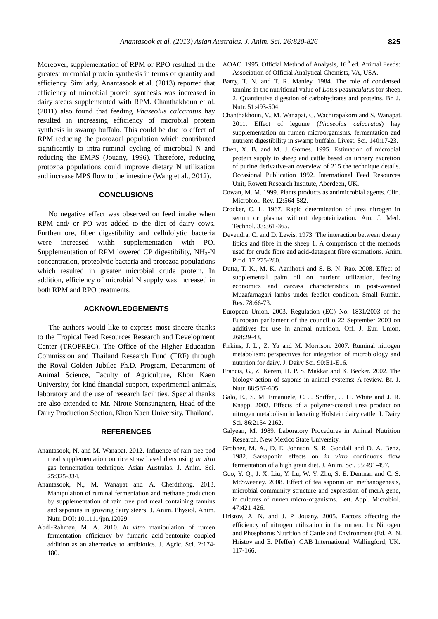Moreover, supplementation of RPM or RPO resulted in the greatest microbial protein synthesis in terms of quantity and efficiency. Similarly, Anantasook et al. (2013) reported that efficiency of microbial protein synthesis was increased in dairy steers supplemented with RPM. Chanthakhoun et al. (2011) also found that feeding *Phaseolus calcaratus* hay resulted in increasing efficiency of microbial protein synthesis in swamp buffalo. This could be due to effect of RPM reducing the protozoal population which contributed significantly to intra-ruminal cycling of microbial N and reducing the EMPS (Jouany, 1996). Therefore, reducing protozoa populations could improve dietary N utilization and increase MPS flow to the intestine (Wang et al., 2012).

## **CONCLUSIONS**

No negative effect was observed on feed intake when RPM and/ or PO was added to the diet of dairy cows. Furthermore, fiber digestibility and cellulolytic bacteria were increased withh supplementation with PO. Supplementation of RPM lowered CP digestibility,  $NH_3-N$ concentration, proteolytic bacteria and protozoa populations which resulted in greater microbial crude protein. In addition, efficiency of microbial N supply was increased in both RPM and RPO treatments.

## **ACKNOWLEDGEMENTS**

The authors would like to express most sincere thanks to the Tropical Feed Resources Research and Development Center (TROFREC), The Office of the Higher Education Commission and Thailand Research Fund (TRF) through the Royal Golden Jubilee Ph.D. Program, Department of Animal Science, Faculty of Agriculture, Khon Kaen University, for kind financial support, experimental animals, laboratory and the use of research facilities. Special thanks are also extended to Mr. Nirote Sornsungnern, Head of the Dairy Production Section, Khon Kaen University, Thailand.

## **REFERENCES**

- Anantasook, N. and M. Wanapat. 2012. Influence of rain tree pod meal supplementation on rice straw based diets using *in vitro*  gas fermentation technique. Asian Australas. J. Anim. Sci. 25:325-334.
- Anantasook, N., M. Wanapat and A. Cherdthong. 2013. Manipulation of ruminal fermentation and methane production by supplementation of rain tree pod meal containing tannins and saponins in growing dairy steers. J. Anim. Physiol. Anim. Nutr. DOI: 10.1111/jpn.12029
- Abdl-Rahman, M. A. 2010. *In vitro* manipulation of rumen fermentation efficiency by fumaric acid-bentonite coupled addition as an alternative to antibiotics. J. Agric. Sci. 2:174- 180.
- AOAC. 1995. Official Method of Analysis, 16<sup>th</sup> ed. Animal Feeds: Association of Official Analytical Chemists, VA, USA.
- Barry, T. N. and T. R. Manley. 1984. The role of condensed tannins in the nutritional value of *Lotus pedunculatus* for sheep. 2. Quantitative digestion of carbohydrates and proteins. Br. J. Nutr. 51:493-504.
- Chanthakhoun, V., M. Wanapat, C. Wachirapakorn and S. Wanapat. 2011. Effect of legume (*Phaseolus calcaratus*) hay supplementation on rumen microorganisms, fermentation and nutrient digestibility in swamp buffalo. Livest. Sci. 140:17-23.
- Chen, X. B. and M. J. Gomes. 1995. Estimation of microbial protein supply to sheep and cattle based on urinary excretion of purine derivative-an overview of 215 the technique details. Occasional Publication 1992. International Feed Resources Unit, Rowett Research Institute, Aberdeen, UK.
- Cowan, M. M. 1999. Plants products as antimicrobial agents. Clin. Microbiol. Rev. 12:564-582.
- Crocker, C. L. 1967. Rapid determination of urea nitrogen in serum or plasma without deproteinization. Am. J. Med. Technol. 33:361-365.
- Devendra, C. and D. Lewis. 1973. The interaction between dietary lipids and fibre in the sheep 1. A comparison of the methods used for crude fibre and acid-detergent fibre estimations. Anim. Prod. 17:275-280.
- Dutta, T. K., M. K. Agnihotri and S. B. N. Rao. 2008. Effect of supplemental palm oil on nutrient utilization, feeding economics and carcass characteristics in post-weaned Muzafarnagari lambs under feedlot condition. Small Rumin. Res. 78:66-73.
- European Union. 2003. Regulation (EC) No. 1831/2003 of the European parliament of the council o 22 September 2003 on additives for use in animal nutrition. Off. J. Eur. Union, 268:29-43.
- Firkins, J. L., Z. Yu and M. Morrison. 2007. Ruminal nitrogen metabolism: perspectives for integration of microbiology and nutrition for dairy. J. Dairy Sci. 90:E1-E16.
- Francis, G., Z. Kerem, H. P. S. Makkar and K. Becker. 2002. The biology action of saponis in animal systems: A review. Br. J. Nutr. 88:587-605.
- Galo, E., S. M. Emanuele, C. J. Sniffen, J. H. White and J. R. Knapp. 2003. Effects of a polymer-coated urea product on nitrogen metabolism in lactating Holstein dairy cattle. J. Dairy Sci. 86:2154-2162.
- Galyean, M. 1989. Laboratory Procedures in Animal Nutrition Research. New Mexico State University.
- Grobner, M. A., D. E. Johnson, S. R. Goodall and D. A. Benz. 1982. Sarsaponin effects on *in vitro* continuous flow fermentation of a high grain diet. J. Anim. Sci. 55:491-497.
- Guo, Y. Q., J. X. Liu, Y. Lu, W. Y. Zhu, S. E. Denman and C. S. McSweeney. 2008. Effect of tea saponin on methanogenesis, microbial community structure and expression of mcrA gene, in cultures of rumen micro-organisms. Lett. Appl. Microbiol. 47:421-426.
- Hristov, A. N. and J. P. Jouany. 2005. Factors affecting the efficiency of nitrogen utilization in the rumen. In: Nitrogen and Phosphorus Nutrition of Cattle and Environment (Ed. A. N. Hristov and E. Pfeffer). CAB International, Wallingford, UK. 117-166.